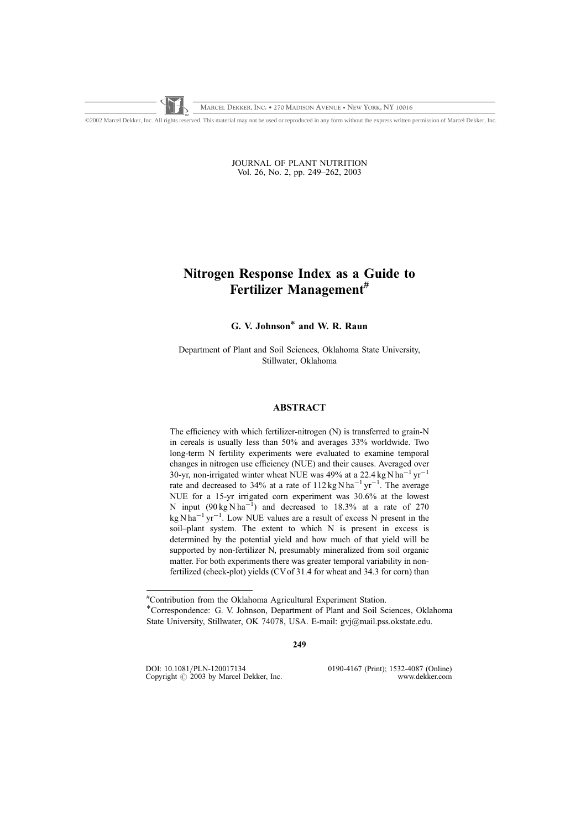**MARCEL DEKKER, INC. • 270 MADISON AVENUE • NEW YORK, NY 10016**

©2002 Marcel Dekker, Inc. All rights reserved. This material may not be used or reproduced in any form without the express written permission of Marcel Dekker, Inc.

JOURNAL OF PLANT NUTRITION Vol. 26, No. 2, pp. 249–262, 2003

# Nitrogen Response Index as a Guide to Fertilizer Management<sup>#</sup>

## G. V. Johnson\* and W. R. Raun

Department of Plant and Soil Sciences, Oklahoma State University, Stillwater, Oklahoma

### ABSTRACT

The efficiency with which fertilizer-nitrogen (N) is transferred to grain-N in cereals is usually less than 50% and averages 33% worldwide. Two long-term N fertility experiments were evaluated to examine temporal changes in nitrogen use efficiency (NUE) and their causes. Averaged over 30-yr, non-irrigated winter wheat NUE was 49% at a 22.4 kg N  $ha^{-1}$  yr<sup>-1</sup> rate and decreased to 34% at a rate of  $112 \text{ kg} \text{N} \text{ ha}^{-1} \text{ yr}^{-1}$ . The average NUE for a 15-yr irrigated corn experiment was 30.6% at the lowest N input  $(90 \text{ kg N ha}^{-1})$  and decreased to 18.3% at a rate of 270  $\text{kg} \text{N} \text{ha}^{-1} \text{yr}^{-1}$ . Low NUE values are a result of excess N present in the soil–plant system. The extent to which N is present in excess is determined by the potential yield and how much of that yield will be supported by non-fertilizer N, presumably mineralized from soil organic matter. For both experiments there was greater temporal variability in nonfertilized (check-plot) yields (CVof 31.4 for wheat and 34.3 for corn) than

249

DOI: 10.1081/PLN-120017134 0190-4167 (Print); 1532-4087 (Online)<br>Convright © 2003 by Marcel Dekker Inc Copyright  $\circlearrowright$  2003 by Marcel Dekker, Inc.

<sup>#</sup> Contribution from the Oklahoma Agricultural Experiment Station.

<sup>\*</sup>Correspondence: G. V. Johnson, Department of Plant and Soil Sciences, Oklahoma State University, Stillwater, OK 74078, USA. E-mail: gvj@mail.pss.okstate.edu.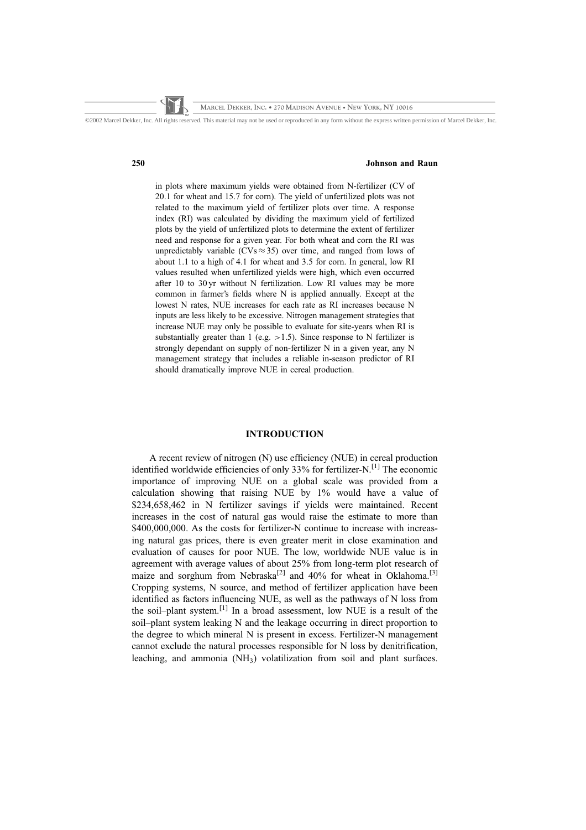**MARCEL DEKKER, INC. • 270 MADISON AVENUE • NEW YORK, NY 10016**

©2002 Marcel Dekker, Inc. All rights reserved. This material may not be used or reproduced in any form without the express written permission of Marcel Dekker, Inc.

### 250 Johnson and Raun

in plots where maximum yields were obtained from N-fertilizer (CV of 20.1 for wheat and 15.7 for corn). The yield of unfertilized plots was not related to the maximum yield of fertilizer plots over time. A response index (RI) was calculated by dividing the maximum yield of fertilized plots by the yield of unfertilized plots to determine the extent of fertilizer need and response for a given year. For both wheat and corn the RI was unpredictably variable ( $CVs \approx 35$ ) over time, and ranged from lows of about 1.1 to a high of 4.1 for wheat and 3.5 for corn. In general, low RI values resulted when unfertilized yields were high, which even occurred after 10 to 30 yr without N fertilization. Low RI values may be more common in farmer's fields where N is applied annually. Except at the lowest N rates, NUE increases for each rate as RI increases because N inputs are less likely to be excessive. Nitrogen management strategies that increase NUE may only be possible to evaluate for site-years when RI is substantially greater than 1 (e.g.  $>1.5$ ). Since response to N fertilizer is strongly dependant on supply of non-fertilizer N in a given year, any N management strategy that includes a reliable in-season predictor of RI should dramatically improve NUE in cereal production.

### INTRODUCTION

A recent review of nitrogen (N) use efficiency (NUE) in cereal production identified worldwide efficiencies of only 33% for fertilizer-N.[1] The economic importance of improving NUE on a global scale was provided from a calculation showing that raising NUE by 1% would have a value of \$234,658,462 in N fertilizer savings if yields were maintained. Recent increases in the cost of natural gas would raise the estimate to more than \$400,000,000. As the costs for fertilizer-N continue to increase with increasing natural gas prices, there is even greater merit in close examination and evaluation of causes for poor NUE. The low, worldwide NUE value is in agreement with average values of about 25% from long-term plot research of maize and sorghum from Nebraska<sup>[2]</sup> and 40% for wheat in Oklahoma.<sup>[3]</sup> Cropping systems, N source, and method of fertilizer application have been identified as factors influencing NUE, as well as the pathways of N loss from the soil–plant system.[1] In a broad assessment, low NUE is a result of the soil–plant system leaking N and the leakage occurring in direct proportion to the degree to which mineral N is present in excess. Fertilizer-N management cannot exclude the natural processes responsible for N loss by denitrification, leaching, and ammonia  $(NH_3)$  volatilization from soil and plant surfaces.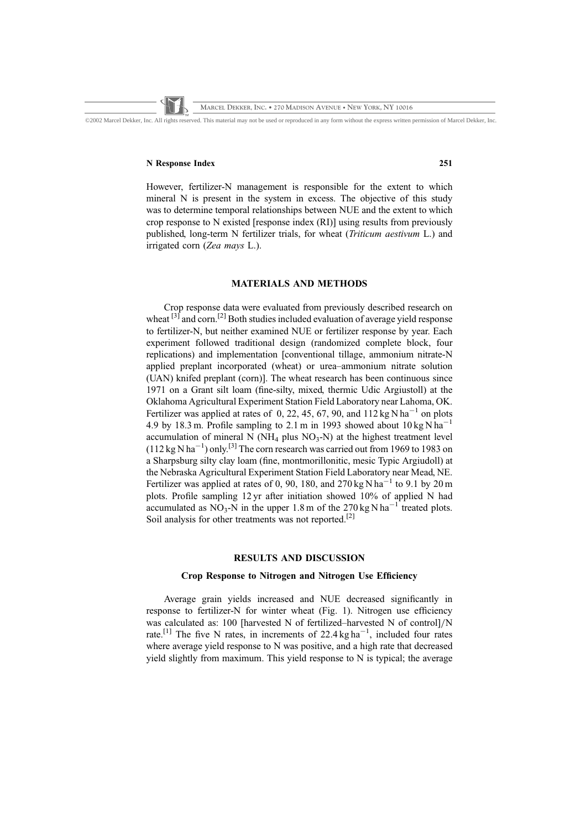### N Response Index 251

However, fertilizer-N management is responsible for the extent to which mineral N is present in the system in excess. The objective of this study was to determine temporal relationships between NUE and the extent to which crop response to N existed [response index (RI)] using results from previously published, long-term N fertilizer trials, for wheat (Triticum aestivum L.) and irrigated corn (Zea mays L.).

### MATERIALS AND METHODS

Crop response data were evaluated from previously described research on wheat  $[3]$  and corn.<sup>[2]</sup> Both studies included evaluation of average yield response to fertilizer-N, but neither examined NUE or fertilizer response by year. Each experiment followed traditional design (randomized complete block, four replications) and implementation [conventional tillage, ammonium nitrate-N applied preplant incorporated (wheat) or urea–ammonium nitrate solution (UAN) knifed preplant (corn)]. The wheat research has been continuous since 1971 on a Grant silt loam (fine-silty, mixed, thermic Udic Argiustoll) at the Oklahoma Agricultural Experiment Station Field Laboratory near Lahoma, OK. Fertilizer was applied at rates of 0, 22, 45, 67, 90, and  $112 \text{ kg} \text{ N} \text{ ha}^{-1}$  on plots 4.9 by 18.3 m. Profile sampling to 2.1 m in 1993 showed about  $10 \text{ kg N} \text{ ha}^{-1}$ accumulation of mineral N (NH<sub>4</sub> plus NO<sub>3</sub>-N) at the highest treatment level  $(112 \text{ kg N} \text{ ha}^{-1})$  only.<sup>[3]</sup> The corn research was carried out from 1969 to 1983 on a Sharpsburg silty clay loam (fine, montmorillonitic, mesic Typic Argiudoll) at the Nebraska Agricultural Experiment Station Field Laboratory near Mead, NE. Fertilizer was applied at rates of 0, 90, 180, and  $270 \text{ kg N} \text{ ha}^{-1}$  to 9.1 by 20 m plots. Profile sampling 12 yr after initiation showed 10% of applied N had accumulated as NO<sub>3</sub>-N in the upper 1.8 m of the  $270 \text{ kg N} \text{ ha}^{-1}$  treated plots. Soil analysis for other treatments was not reported.<sup>[2]</sup>

### RESULTS AND DISCUSSION

### Crop Response to Nitrogen and Nitrogen Use Efficiency

Average grain yields increased and NUE decreased significantly in response to fertilizer-N for winter wheat (Fig. 1). Nitrogen use efficiency was calculated as: 100 [harvested N of fertilized–harvested N of control]/N rate.<sup>[1]</sup> The five N rates, in increments of 22.4 kg ha<sup>-1</sup>, included four rates where average yield response to N was positive, and a high rate that decreased yield slightly from maximum. This yield response to N is typical; the average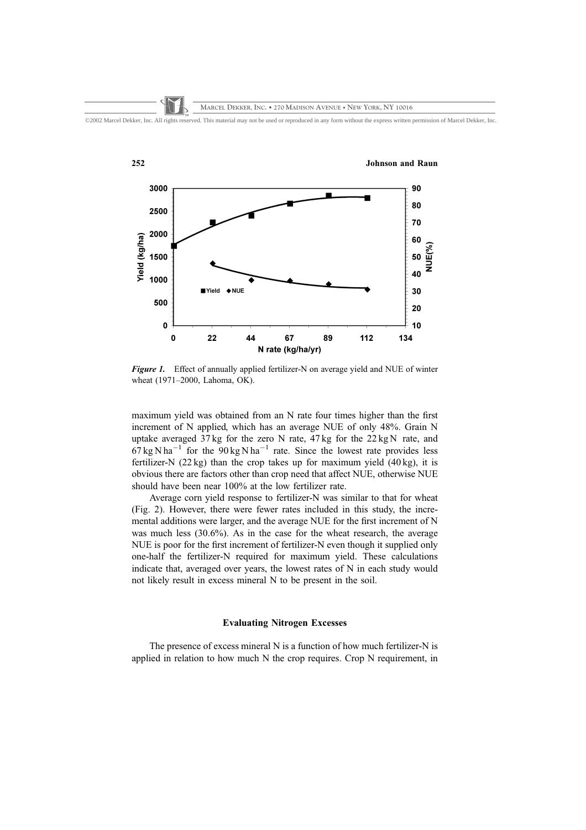

Figure 1. Effect of annually applied fertilizer-N on average yield and NUE of winter wheat (1971–2000, Lahoma, OK).

maximum yield was obtained from an N rate four times higher than the first increment of N applied, which has an average NUE of only 48%. Grain N uptake averaged  $37 \text{ kg}$  for the zero N rate,  $47 \text{ kg}$  for the  $22 \text{ kg N}$  rate, and  $67 \text{ kg N} \text{ ha}^{-1}$  for the 90 kg N ha<sup>-1</sup> rate. Since the lowest rate provides less fertilizer-N  $(22 \text{ kg})$  than the crop takes up for maximum yield  $(40 \text{ kg})$ , it is obvious there are factors other than crop need that affect NUE, otherwise NUE should have been near 100% at the low fertilizer rate.

Average corn yield response to fertilizer-N was similar to that for wheat (Fig. 2). However, there were fewer rates included in this study, the incremental additions were larger, and the average NUE for the first increment of N was much less (30.6%). As in the case for the wheat research, the average NUE is poor for the first increment of fertilizer-N even though it supplied only one-half the fertilizer-N required for maximum yield. These calculations indicate that, averaged over years, the lowest rates of N in each study would not likely result in excess mineral N to be present in the soil.

## Evaluating Nitrogen Excesses

The presence of excess mineral N is a function of how much fertilizer-N is applied in relation to how much N the crop requires. Crop N requirement, in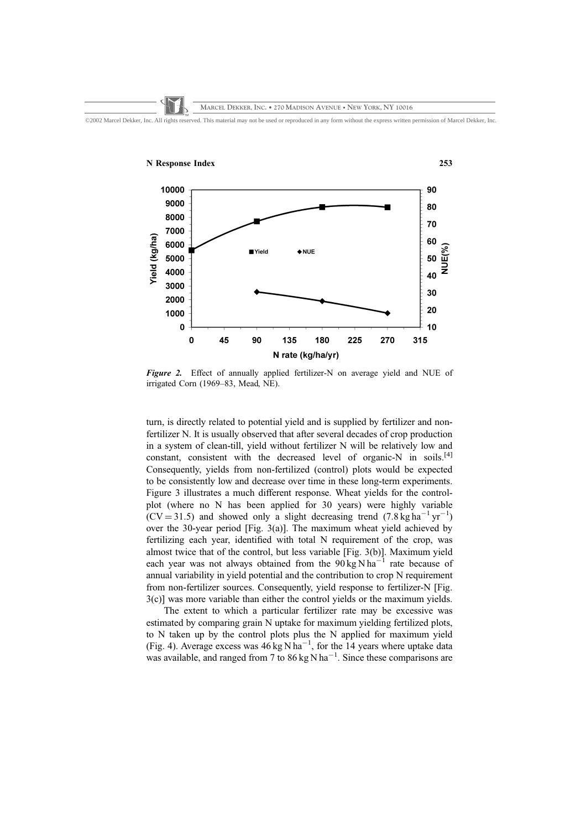

Figure 2. Effect of annually applied fertilizer-N on average yield and NUE of irrigated Corn (1969–83, Mead, NE).

turn, is directly related to potential yield and is supplied by fertilizer and nonfertilizer N. It is usually observed that after several decades of crop production in a system of clean-till, yield without fertilizer N will be relatively low and constant, consistent with the decreased level of organic-N in soils.[4] Consequently, yields from non-fertilized (control) plots would be expected to be consistently low and decrease over time in these long-term experiments. Figure 3 illustrates a much different response. Wheat yields for the controlplot (where no N has been applied for 30 years) were highly variable  $(CV = 31.5)$  and showed only a slight decreasing trend (7.8 kg ha<sup>-1</sup> yr<sup>-1</sup>) over the 30-year period [Fig. 3(a)]. The maximum wheat yield achieved by fertilizing each year, identified with total N requirement of the crop, was almost twice that of the control, but less variable [Fig. 3(b)]. Maximum yield each year was not always obtained from the  $90 \text{ kg} \text{ N} \text{ ha}^{-1}$  rate because of annual variability in yield potential and the contribution to crop N requirement from non-fertilizer sources. Consequently, yield response to fertilizer-N [Fig. 3(c)] was more variable than either the control yields or the maximum yields.

The extent to which a particular fertilizer rate may be excessive was estimated by comparing grain N uptake for maximum yielding fertilized plots, to N taken up by the control plots plus the N applied for maximum yield (Fig. 4). Average excess was  $46 \text{ kg N} \cdot \text{h} \cdot \text{a}^{-1}$ , for the 14 years where uptake data was available, and ranged from 7 to  $86 \text{ kg N} \text{ ha}^{-1}$ . Since these comparisons are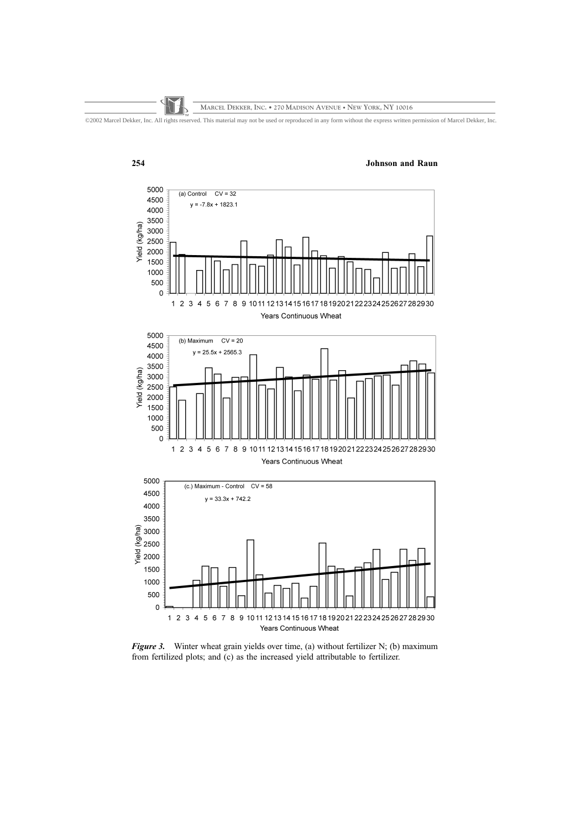

Figure 3. Winter wheat grain yields over time, (a) without fertilizer N; (b) maximum from fertilized plots; and (c) as the increased yield attributable to fertilizer.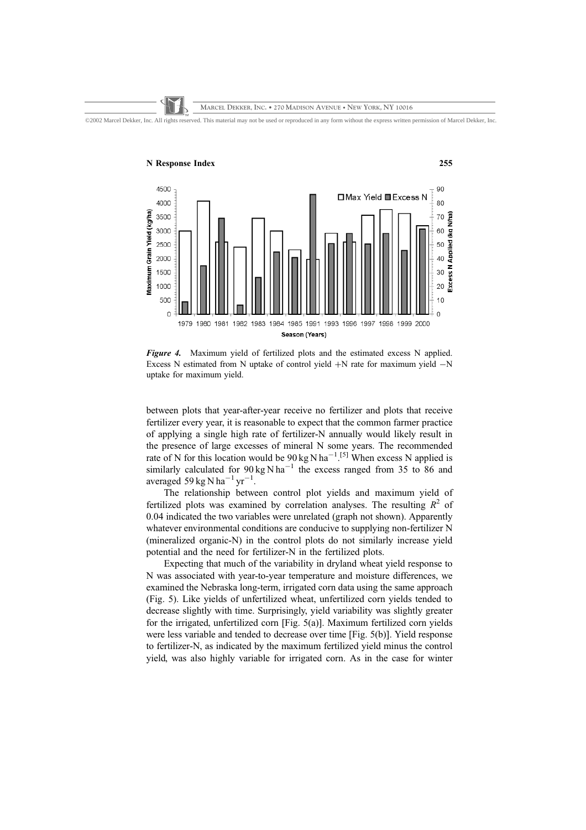### N Response Index 255 4500 90 □ Max Yield ■ Excess N 4000 80 Maximum Grain Yield (kg/ha) 70 3500 Excess N Applied (kg N/ha) 3000 60 2500 50 2000  $\overline{A}$ 30 1500  $_{20}$ 1000  $10$ 500  $\overline{0}$  $\Omega$ 1979 1980 1981 1982 1983 1984 1985 1991 1993 1996 1997 1998 1999 2000 Season (Years) Figure 4. Maximum yield of fertilized plots and the estimated excess N applied.

Excess N estimated from N uptake of control yield  $+N$  rate for maximum yield  $-N$ uptake for maximum yield.

between plots that year-after-year receive no fertilizer and plots that receive fertilizer every year, it is reasonable to expect that the common farmer practice of applying a single high rate of fertilizer-N annually would likely result in the presence of large excesses of mineral N some years. The recommended rate of N for this location would be  $90 \text{ kg N} \text{ ha}^{-1}$ .<sup>[5]</sup> When excess N applied is similarly calculated for  $90 \text{ kg N} \text{ ha}^{-1}$  the excess ranged from 35 to 86 and averaged 59 kg N ha<sup>-1</sup> yr<sup>-1</sup>.

The relationship between control plot yields and maximum yield of fertilized plots was examined by correlation analyses. The resulting  $R^2$  of 0.04 indicated the two variables were unrelated (graph not shown). Apparently whatever environmental conditions are conducive to supplying non-fertilizer N (mineralized organic-N) in the control plots do not similarly increase yield potential and the need for fertilizer-N in the fertilized plots.

Expecting that much of the variability in dryland wheat yield response to N was associated with year-to-year temperature and moisture differences, we examined the Nebraska long-term, irrigated corn data using the same approach (Fig. 5). Like yields of unfertilized wheat, unfertilized corn yields tended to decrease slightly with time. Surprisingly, yield variability was slightly greater for the irrigated, unfertilized corn [Fig. 5(a)]. Maximum fertilized corn yields were less variable and tended to decrease over time [Fig. 5(b)]. Yield response to fertilizer-N, as indicated by the maximum fertilized yield minus the control yield, was also highly variable for irrigated corn. As in the case for winter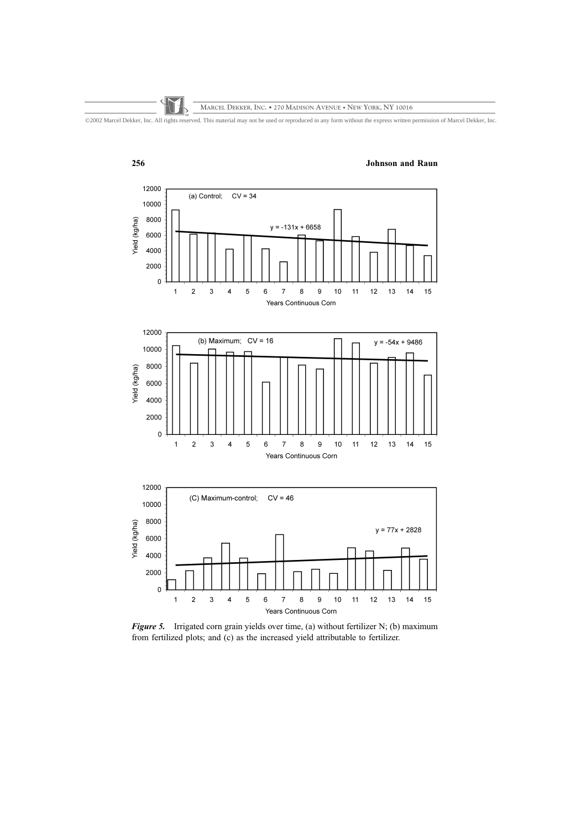

Figure 5. Irrigated corn grain yields over time, (a) without fertilizer N; (b) maximum from fertilized plots; and (c) as the increased yield attributable to fertilizer.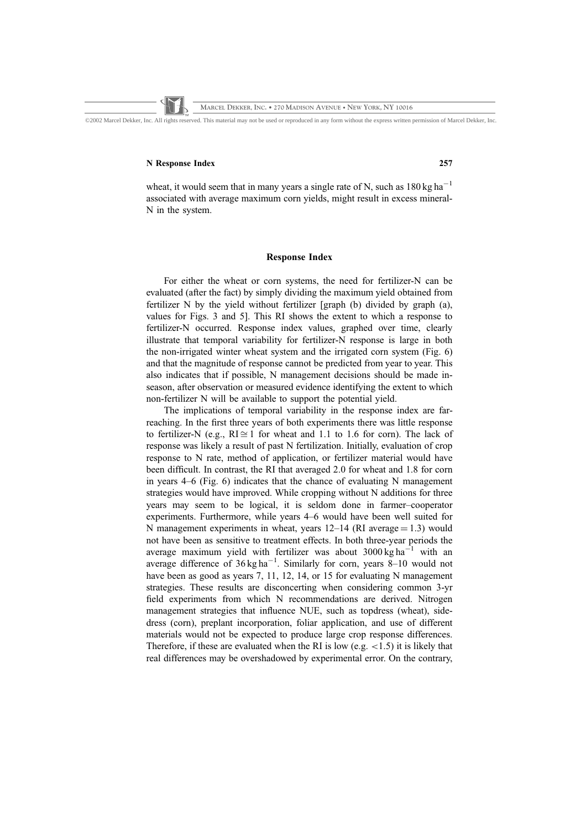### N Response Index 257

wheat, it would seem that in many years a single rate of N, such as  $180 \text{ kg ha}^{-1}$ associated with average maximum corn yields, might result in excess mineral-N in the system.

### Response Index

For either the wheat or corn systems, the need for fertilizer-N can be evaluated (after the fact) by simply dividing the maximum yield obtained from fertilizer N by the yield without fertilizer [graph (b) divided by graph (a), values for Figs. 3 and 5]. This RI shows the extent to which a response to fertilizer-N occurred. Response index values, graphed over time, clearly illustrate that temporal variability for fertilizer-N response is large in both the non-irrigated winter wheat system and the irrigated corn system (Fig. 6) and that the magnitude of response cannot be predicted from year to year. This also indicates that if possible, N management decisions should be made inseason, after observation or measured evidence identifying the extent to which non-fertilizer N will be available to support the potential yield.

The implications of temporal variability in the response index are farreaching. In the first three years of both experiments there was little response to fertilizer-N (e.g.,  $RI \cong 1$  for wheat and 1.1 to 1.6 for corn). The lack of response was likely a result of past N fertilization. Initially, evaluation of crop response to N rate, method of application, or fertilizer material would have been difficult. In contrast, the RI that averaged 2.0 for wheat and 1.8 for corn in years  $4-6$  (Fig. 6) indicates that the chance of evaluating N management strategies would have improved. While cropping without N additions for three years may seem to be logical, it is seldom done in farmer–cooperator experiments. Furthermore, while years 4–6 would have been well suited for N management experiments in wheat, years  $12-14$  (RI average  $= 1.3$ ) would not have been as sensitive to treatment effects. In both three-year periods the average maximum yield with fertilizer was about  $3000 \text{ kg ha}^{-1}$  with an average difference of  $36 \text{ kg ha}^{-1}$ . Similarly for corn, years 8-10 would not have been as good as years 7, 11, 12, 14, or 15 for evaluating N management strategies. These results are disconcerting when considering common 3-yr field experiments from which N recommendations are derived. Nitrogen management strategies that influence NUE, such as topdress (wheat), sidedress (corn), preplant incorporation, foliar application, and use of different materials would not be expected to produce large crop response differences. Therefore, if these are evaluated when the RI is low (e.g.  $\lt 1.5$ ) it is likely that real differences may be overshadowed by experimental error. On the contrary,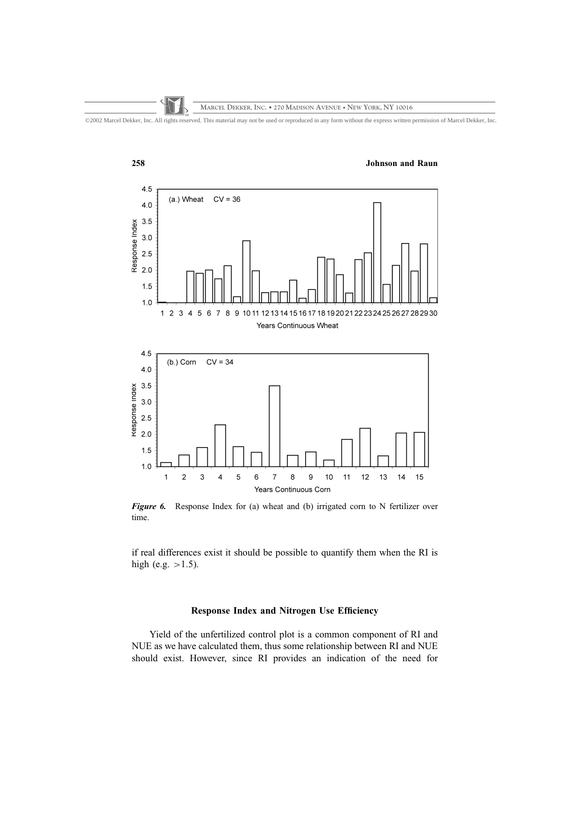



Figure 6. Response Index for (a) wheat and (b) irrigated corn to N fertilizer over time.

if real differences exist it should be possible to quantify them when the RI is high (e.g.  $>1.5$ ).

## Response Index and Nitrogen Use Efficiency

Yield of the unfertilized control plot is a common component of RI and NUE as we have calculated them, thus some relationship between RI and NUE should exist. However, since RI provides an indication of the need for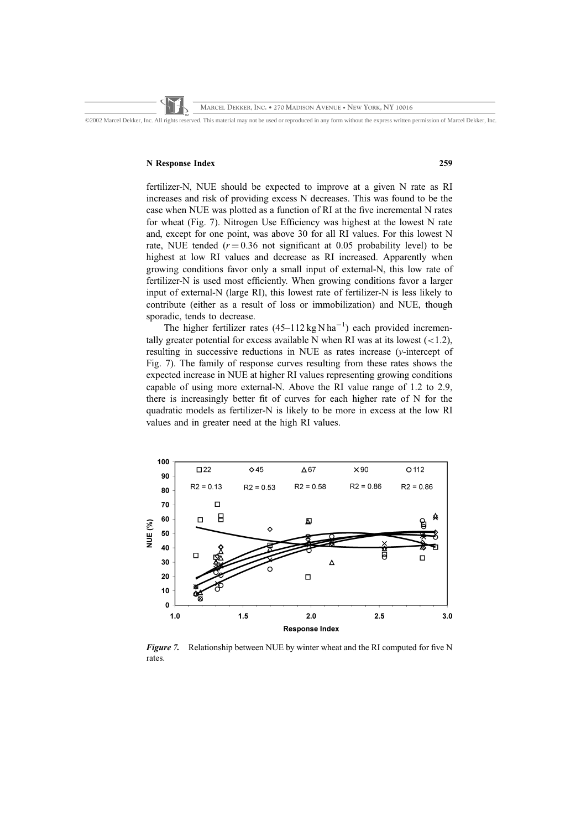## N Response Index 259

fertilizer-N, NUE should be expected to improve at a given N rate as RI increases and risk of providing excess N decreases. This was found to be the case when NUE was plotted as a function of RI at the five incremental N rates for wheat (Fig. 7). Nitrogen Use Efficiency was highest at the lowest N rate and, except for one point, was above 30 for all RI values. For this lowest N rate, NUE tended  $(r = 0.36$  not significant at 0.05 probability level) to be highest at low RI values and decrease as RI increased. Apparently when growing conditions favor only a small input of external-N, this low rate of fertilizer-N is used most efficiently. When growing conditions favor a larger input of external-N (large RI), this lowest rate of fertilizer-N is less likely to contribute (either as a result of loss or immobilization) and NUE, though sporadic, tends to decrease.

The higher fertilizer rates  $(45-112 \text{ kg N} \text{ ha}^{-1})$  each provided incrementally greater potential for excess available N when RI was at its lowest  $(<1.2)$ , resulting in successive reductions in NUE as rates increase ( $\nu$ -intercept of Fig. 7). The family of response curves resulting from these rates shows the expected increase in NUE at higher RI values representing growing conditions capable of using more external-N. Above the RI value range of 1.2 to 2.9, there is increasingly better fit of curves for each higher rate of N for the quadratic models as fertilizer-N is likely to be more in excess at the low RI values and in greater need at the high RI values.



**Figure 7.** Relationship between NUE by winter wheat and the RI computed for five N rates.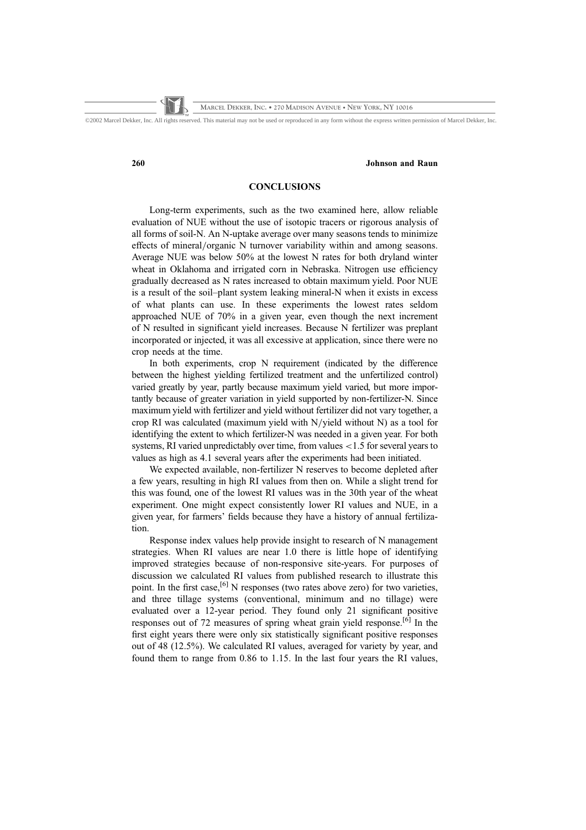### 260 Johnson and Raun

### **CONCLUSIONS**

Long-term experiments, such as the two examined here, allow reliable evaluation of NUE without the use of isotopic tracers or rigorous analysis of all forms of soil-N. An N-uptake average over many seasons tends to minimize effects of mineral/organic N turnover variability within and among seasons. Average NUE was below 50% at the lowest N rates for both dryland winter wheat in Oklahoma and irrigated corn in Nebraska. Nitrogen use efficiency gradually decreased as N rates increased to obtain maximum yield. Poor NUE is a result of the soil–plant system leaking mineral-N when it exists in excess of what plants can use. In these experiments the lowest rates seldom approached NUE of 70% in a given year, even though the next increment of N resulted in significant yield increases. Because N fertilizer was preplant incorporated or injected, it was all excessive at application, since there were no crop needs at the time.

In both experiments, crop N requirement (indicated by the difference between the highest yielding fertilized treatment and the unfertilized control) varied greatly by year, partly because maximum yield varied, but more importantly because of greater variation in yield supported by non-fertilizer-N. Since maximum yield with fertilizer and yield without fertilizer did not vary together, a crop RI was calculated (maximum yield with  $N$ ) yield without N) as a tool for identifying the extent to which fertilizer-N was needed in a given year. For both systems, RI varied unpredictably over time, from values <1.5 for several years to values as high as 4.1 several years after the experiments had been initiated.

We expected available, non-fertilizer N reserves to become depleted after a few years, resulting in high RI values from then on. While a slight trend for this was found, one of the lowest RI values was in the 30th year of the wheat experiment. One might expect consistently lower RI values and NUE, in a given year, for farmers' fields because they have a history of annual fertilization.

Response index values help provide insight to research of N management strategies. When RI values are near 1.0 there is little hope of identifying improved strategies because of non-responsive site-years. For purposes of discussion we calculated RI values from published research to illustrate this point. In the first case,  $[6]$  N responses (two rates above zero) for two varieties, and three tillage systems (conventional, minimum and no tillage) were evaluated over a 12-year period. They found only 21 significant positive responses out of 72 measures of spring wheat grain yield response.[6] In the first eight years there were only six statistically significant positive responses out of 48 (12.5%). We calculated RI values, averaged for variety by year, and found them to range from 0.86 to 1.15. In the last four years the RI values,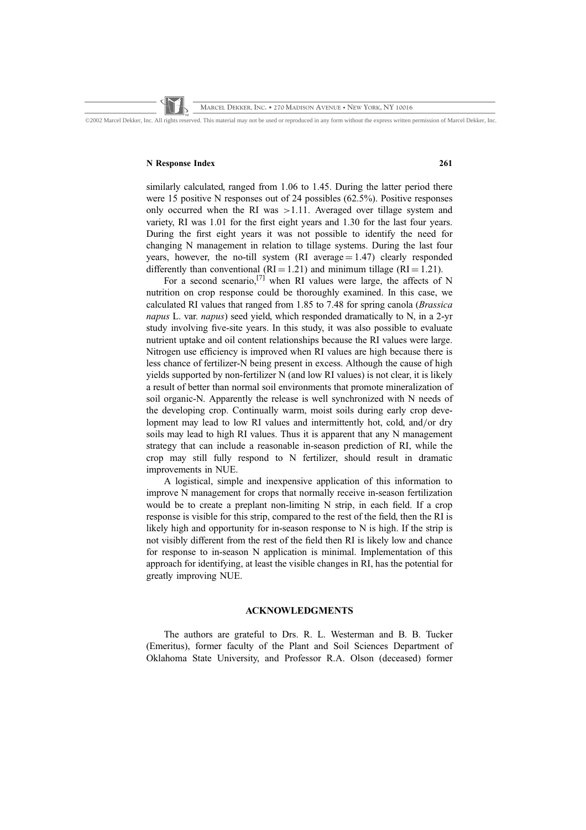### N Response Index 261

similarly calculated, ranged from 1.06 to 1.45. During the latter period there were 15 positive N responses out of 24 possibles (62.5%). Positive responses only occurred when the RI was >1.11. Averaged over tillage system and variety, RI was 1.01 for the first eight years and 1.30 for the last four years. During the first eight years it was not possible to identify the need for changing N management in relation to tillage systems. During the last four years, however, the no-till system (RI average  $= 1.47$ ) clearly responded differently than conventional  $(RI = 1.21)$  and minimum tillage  $(RI = 1.21)$ .

For a second scenario,<sup>[7]</sup> when RI values were large, the affects of N nutrition on crop response could be thoroughly examined. In this case, we calculated RI values that ranged from 1.85 to 7.48 for spring canola (Brassica napus L. var. napus) seed yield, which responded dramatically to N, in a 2-yr study involving five-site years. In this study, it was also possible to evaluate nutrient uptake and oil content relationships because the RI values were large. Nitrogen use efficiency is improved when RI values are high because there is less chance of fertilizer-N being present in excess. Although the cause of high yields supported by non-fertilizer N (and low RI values) is not clear, it is likely a result of better than normal soil environments that promote mineralization of soil organic-N. Apparently the release is well synchronized with N needs of the developing crop. Continually warm, moist soils during early crop development may lead to low RI values and intermittently hot, cold, and/or dry soils may lead to high RI values. Thus it is apparent that any N management strategy that can include a reasonable in-season prediction of RI, while the crop may still fully respond to N fertilizer, should result in dramatic improvements in NUE.

A logistical, simple and inexpensive application of this information to improve N management for crops that normally receive in-season fertilization would be to create a preplant non-limiting N strip, in each field. If a crop response is visible for this strip, compared to the rest of the field, then the RI is likely high and opportunity for in-season response to N is high. If the strip is not visibly different from the rest of the field then RI is likely low and chance for response to in-season N application is minimal. Implementation of this approach for identifying, at least the visible changes in RI, has the potential for greatly improving NUE.

### ACKNOWLEDGMENTS

The authors are grateful to Drs. R. L. Westerman and B. B. Tucker (Emeritus), former faculty of the Plant and Soil Sciences Department of Oklahoma State University, and Professor R.A. Olson (deceased) former